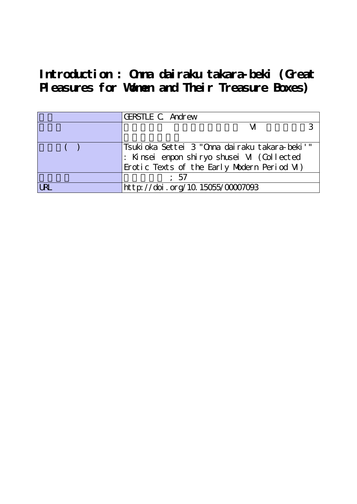**Introduction : Onna dairaku takara-beki (Great Pleasures for Women and Their Treasure Boxes)**

|                | <b>GERSTLE C</b> Andrew                       |  |
|----------------|-----------------------------------------------|--|
|                |                                               |  |
|                |                                               |  |
|                | Tsukioka Settei 3 "Onna dairaku takara-beki'" |  |
|                | : Kinsei enpon shiryo shusei VI (Collected    |  |
|                | Erotic Texts of the Early Modern Period M)    |  |
|                | : 57                                          |  |
| I <sub>R</sub> | http://doi.org/10.15055/00007093              |  |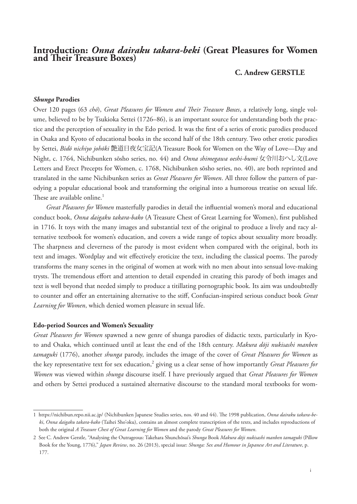# **Introduction:** *Onna dairaku takara-beki* **(Great Pleasures for Women and Their Treasure Boxes)**

# **C. Andrew GERSTLE**

#### *Shunga* **Parodies**

Over 120 pages (63 *chō*), *Great Pleasures for Women and Their Treasure Boxes*, a relatively long, single volume, believed to be by Tsukioka Settei (1726–86), is an important source for understanding both the practice and the perception of sexuality in the Edo period. It was the first of a series of erotic parodies produced in Osaka and Kyoto of educational books in the second half of the 18th century. Two other erotic parodies by Settei, *Bidō nichiyo johōki* 艶道日夜女宝記(A Treasure Book for Women on the Way of Love—Day and Night, c. 1764, Nichibunken sōsho series, no. 44) and *Onna shimegawa oeshi-bumi* 女令川おへし文(Love Letters and Erect Precepts for Women, c. 1768, Nichibunken sōsho series, no. 40), are both reprinted and translated in the same Nichibunken series as *Great Pleasures for Women*. All three follow the pattern of parodying a popular educational book and transforming the original into a humorous treatise on sexual life. These are available online. $<sup>1</sup>$ </sup>

*Great Pleasures for Women* masterfully parodies in detail the influential women's moral and educational conduct book, *Onna daigaku takara-bako* (A Treasure Chest of Great Learning for Women), first published in 1716. It toys with the many images and substantial text of the original to produce a lively and racy alternative textbook for women's education, and covers a wide range of topics about sexuality more broadly. The sharpness and cleverness of the parody is most evident when compared with the original, both its text and images. Wordplay and wit effectively eroticize the text, including the classical poems. The parody transforms the many scenes in the original of women at work with no men about into sensual love-making trysts. The tremendous effort and attention to detail expended in creating this parody of both images and text is well beyond that needed simply to produce a titillating pornographic book. Its aim was undoubtedly to counter and offer an entertaining alternative to the stiff, Confucian-inspired serious conduct book *Great Learning for Women*, which denied women pleasure in sexual life.

#### **Edo-period Sources and Women's Sexuality**

*Great Pleasures for Women* spawned a new genre of shunga parodies of didactic texts, particularly in Kyoto and Osaka, which continued until at least the end of the 18th century. *Makura dōji nukisashi manben tamaguki* (1776), another *shunga* parody, includes the image of the cover of *Great Pleasures for Women* as the key representative text for sex education,<sup>2</sup> giving us a clear sense of how importantly *Great Pleasures for Women* was viewed within *shunga* discourse itself. I have previously argued that *Great Pleasures for Women*  and others by Settei produced a sustained alternative discourse to the standard moral textbooks for wom-

<sup>1</sup> https://nichibun.repo.nii.ac.jp/ (Nichibunken Japanese Studies series, nos. 40 and 44). The 1998 publication, *Onna dairaku takara-beki*, *Onna daigaku takara-bako* (Taihei Sho'oku), contains an almost complete transcription of the texts, and includes reproductions of both the original *A Treasure Chest of Great Learning for Women* and the parody *Great Pleasures for Women*.

<sup>2</sup> See C. Andrew Gerstle, "Analysing the Outrageous: Takehara Shunchōsai's *Shunga* Book *Makura dōji nukisashi manben tamaguki* (Pillow Book for the Young, 1776)," *Japan Review*, no. 26 (2013), special issue: *Shunga: Sex and Humour in Japanese Art and Literature*, p. 177.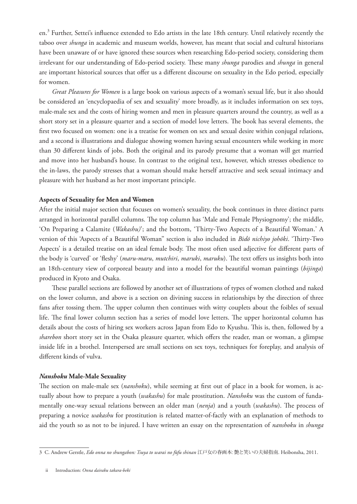en.3 Further, Settei's influence extended to Edo artists in the late 18th century. Until relatively recently the taboo over *shunga* in academic and museum worlds, however, has meant that social and cultural historians have been unaware of or have ignored these sources when researching Edo-period society, considering them irrelevant for our understanding of Edo-period society. These many *shunga* parodies and *shunga* in general are important historical sources that offer us a different discourse on sexuality in the Edo period, especially for women.

*Great Pleasures for Women* is a large book on various aspects of a woman's sexual life, but it also should be considered an 'encyclopaedia of sex and sexuality' more broadly, as it includes information on sex toys, male-male sex and the costs of hiring women and men in pleasure quarters around the country, as well as a short story set in a pleasure quarter and a section of model love letters. The book has several elements, the first two focused on women: one is a treatise for women on sex and sexual desire within conjugal relations, and a second is illustrations and dialogue showing women having sexual encounters while working in more than 30 different kinds of jobs. Both the original and its parody presume that a woman will get married and move into her husband's house. In contrast to the original text, however, which stresses obedience to the in-laws, the parody stresses that a woman should make herself attractive and seek sexual intimacy and pleasure with her husband as her most important principle.

# **Aspects of Sexuality for Men and Women**

After the initial major section that focuses on women's sexuality, the book continues in three distinct parts arranged in horizontal parallel columns. The top column has 'Male and Female Physiognomy'; the middle, 'On Preparing a Calamite (*Wakashu)*'; and the bottom, 'Thirty-Two Aspects of a Beautiful Woman.' A version of this 'Aspects of a Beautiful Woman'' section is also included in *Bidō nichiyo johōki*. 'Thirty-Two Aspects' is a detailed treatise on an ideal female body. The most often used adjective for different parts of the body is 'curved' or 'fleshy' (*maru-maru*, *mutchiri*, *maruki*, *maruku*). The text offers us insights both into an 18th-century view of corporeal beauty and into a model for the beautiful woman paintings (*bijinga*) produced in Kyoto and Osaka.

These parallel sections are followed by another set of illustrations of types of women clothed and naked on the lower column, and above is a section on divining success in relationships by the direction of three fans after tossing them. The upper column then continues with witty couplets about the foibles of sexual life. The final lower column section has a series of model love letters. The upper horizontal column has details about the costs of hiring sex workers across Japan from Edo to Kyushu. This is, then, followed by a *sharebon* short story set in the Osaka pleasure quarter, which offers the reader, man or woman, a glimpse inside life in a brothel. Interspersed are small sections on sex toys, techniques for foreplay, and analysis of different kinds of vulva.

# *Nanshoku* **Male-Male Sexuality**

The section on male-male sex (*nanshoku*), while seeming at first out of place in a book for women, is actually about how to prepare a youth (*wakashu*) for male prostitution. *Nanshoku* was the custom of fundamentally one-way sexual relations between an older man (*nenja*) and a youth (*wakashu*). The process of preparing a novice *wakashu* for prostitution is related matter-of-factly with an explanation of methods to aid the youth so as not to be injured. I have written an essay on the representation of *nanshoku* in *shunga* 

<sup>3</sup> C. Andrew Gerstle, *Edo onna no shungabon: Tsuya to warai no fūfu shinan* 江戸女の春画本: 艶と笑いの夫婦指南. Heibonsha, 2011.

Introduction: Onna dairaku takara-beki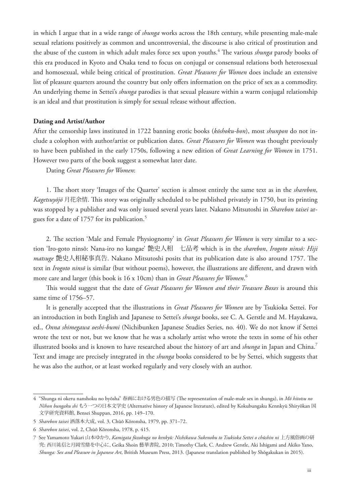in which I argue that in a wide range of *shunga* works across the 18th century, while presenting male-male sexual relations positively as common and uncontroversial, the discourse is also critical of prostitution and the abuse of the custom in which adult males force sex upon youths.<sup>4</sup> The various *shunga* parody books of this era produced in Kyoto and Osaka tend to focus on conjugal or consensual relations both heterosexual and homosexual, while being critical of prostitution. *Great Pleasures for Women* does include an extensive list of pleasure quarters around the country but only offers information on the price of sex as a commodity. An underlying theme in Settei's *shunga* parodies is that sexual pleasure within a warm conjugal relationship is an ideal and that prostitution is simply for sexual release without affection.

#### **Dating and Artist/Author**

After the censorship laws instituted in 1722 banning erotic books (*kōshoku-bon*), most *shunpon* do not include a colophon with author/artist or publication dates. *Great Pleasures for Women* was thought previously to have been published in the early 1750s, following a new edition of *Great Learning for Women* in 1751. However two parts of the book suggest a somewhat later date.

Dating *Great Pleasures for Women*:

1. The short story 'Images of the Quarter' section is almost entirely the same text as in the *sharebon*, *Kagetsuyōjō* 月花余情. This story was originally scheduled to be published privately in 1750, but its printing was stopped by a publisher and was only issued several years later. Nakano Mitsutoshi in *Sharebon taisei* argues for a date of 1757 for its publication.<sup>5</sup>

2. The section 'Male and Female Physiognomy' in *Great Pleasures for Women* is very similar to a section 'Iro-goto ninsō: Nana-iro no kangae' 艶史人相 七品考 which is in the *sharebon*, *Irogoto ninsō: Hiji matsuge* 艶史人相秘事真告. Nakano Mitsutoshi posits that its publication date is also around 1757. The text in *Irogoto ninsō* is similar (but without poems), however, the illustrations are different, and drawn with more care and larger (this book is 16 x 10cm) than in *Great Pleasures for Women*. 6

This would suggest that the date of *Great Pleasures for Women and their Treasure Boxes* is around this same time of 1756–57.

It is generally accepted that the illustrations in *Great Pleasures for Women* are by Tsukioka Settei. For an introduction in both English and Japanese to Settei's *shunga* books, see C. A. Gerstle and M. Hayakawa, ed., *Onna shimegawa oeshi-bumi* (Nichibunken Japanese Studies Series, no. 40). We do not know if Settei wrote the text or not, but we know that he was a scholarly artist who wrote the texts in some of his other illustrated books and is known to have researched about the history of art and *shunga* in Japan and China.7 Text and image are precisely integrated in the *shunga* books considered to be by Settei, which suggests that he was also the author, or at least worked regularly and very closely with an author.

<sup>4 &</sup>quot;Shunga ni okeru nanshoku no byōsha" 春画における男色の描写 (The representation of male-male sex in shunga), in *Mō hitotsu no Nihon bungaku shi* もう一つの日本文学史 (Alternative history of Japanese literature), edited by Kokubungaku Kennkyū Shiryōkan 国 文学研究資料館, Bensei Shuppan, 2016, pp. 149–170.

<sup>5</sup> *Sharebon taisei* 洒落本大成, vol. 3, Chūō Kōronsha, 1979, pp. 371–72.

<sup>6</sup> *Sharebon taisei*, vol. 2, Chūō Kōronsha, 1978, p. 415.

<sup>7</sup> See Yamamoto Yukari 山本ゆかり, *Kamigata fūzokuga no kenkyū: Nishikawa Sukenobu to Tsukioka Settei o chūshin ni* 上方風俗画の研 究: 西川祐信と月岡雪鼎を中心に, Geika Shoin 藝華書院, 2010; Timothy Clark, C. Andrew Gerstle, Aki Ishigami and Akiko Yano, *Shunga: Sex and Pleasure in Japanese Art*, British Museum Press, 2013. (Japanese translation published by Shōgakukan in 2015).